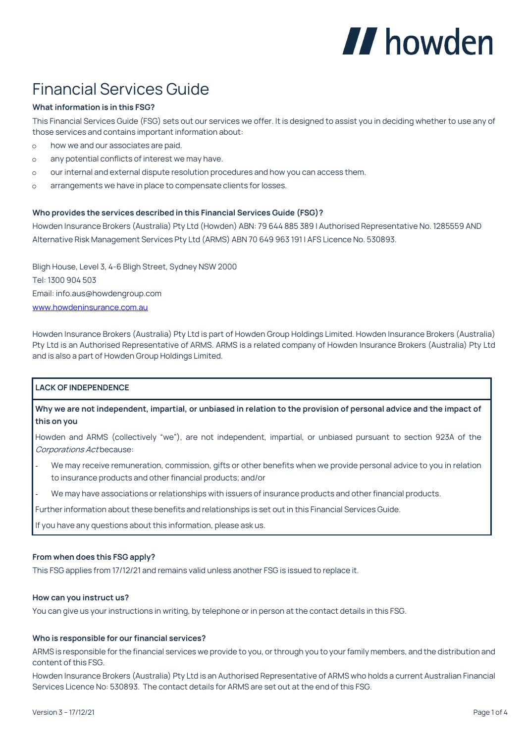# II howden

# Financial Services Guide

# **What information is in this FSG?**

This Financial Services Guide (FSG) sets out our services we offer. It is designed to assist you in deciding whether to use any of those services and contains important information about:

- o how we and our associates are paid.
- o any potential conflicts of interest we may have.
- our internal and external dispute resolution procedures and how you can access them.
- o arrangements we have in place to compensate clients for losses.

# **Who provides the services described in this Financial Services Guide (FSG)?**

Howden Insurance Brokers (Australia) Pty Ltd (Howden) ABN: 79 644 885 389 | Authorised Representative No. 1285559 AND Alternative Risk Management Services Pty Ltd (ARMS) ABN 70 649 963 191 | AFS Licence No. 530893.

Bligh House, Level 3, 4-6 Bligh Street, Sydney NSW 2000 Tel: 1300 904 503 Email: info.aus@howdengroup.com [www.howdeninsurance.com.au](http://www.howdeninsurance.com.au/)

Howden Insurance Brokers (Australia) Pty Ltd is part of Howden Group Holdings Limited. Howden Insurance Brokers (Australia) Pty Ltd is an Authorised Representative of ARMS. ARMS is a related company of Howden Insurance Brokers (Australia) Pty Ltd and is also a part of Howden Group Holdings Limited.

# **LACK OF INDEPENDENCE**

**Why we are not independent, impartial, or unbiased in relation to the provision of personal advice and the impact of this on you**

Howden and ARMS (collectively "we"), are not independent, impartial, or unbiased pursuant to section 923A of the Corporations Act because:

- We may receive remuneration, commission, gifts or other benefits when we provide personal advice to you in relation to insurance products and other financial products; and/or
- We may have associations or relationships with issuers of insurance products and other financial products.

Further information about these benefits and relationships is set out in this Financial Services Guide.

If you have any questions about this information, please ask us.

# **From when does this FSG apply?**

This FSG applies from 17/12/21 and remains valid unless another FSG is issued to replace it.

### **How can you instruct us?**

You can give us your instructions in writing, by telephone or in person at the contact details in this FSG.

### **Who is responsible for our financial services?**

ARMS is responsible for the financial services we provide to you, or through you to your family members, and the distribution and content of this FSG.

Howden Insurance Brokers (Australia) Pty Ltd is an Authorised Representative of ARMS who holds a current Australian Financial Services Licence No: 530893. The contact details for ARMS are set out at the end of this FSG.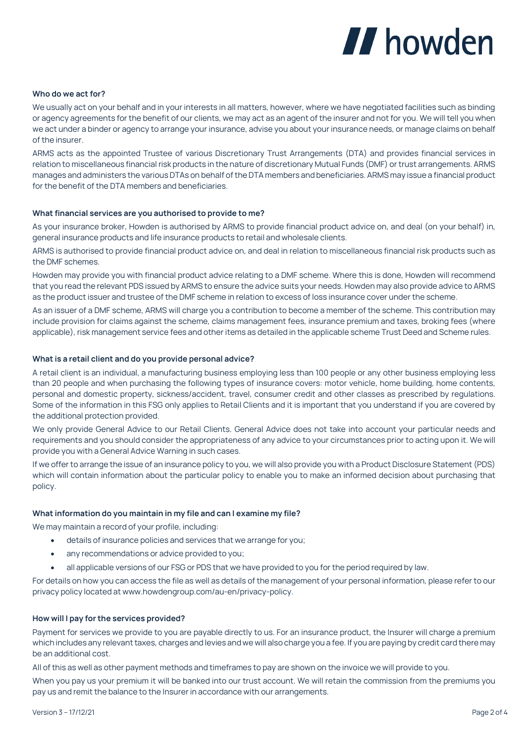# II howden

## **Who do we act for?**

We usually act on your behalf and in your interests in all matters, however, where we have negotiated facilities such as binding or agency agreements for the benefit of our clients, we may act as an agent of the insurer and not for you. We will tell you when we act under a binder or agency to arrange your insurance, advise you about your insurance needs, or manage claims on behalf of the insurer.

ARMS acts as the appointed Trustee of various Discretionary Trust Arrangements (DTA) and provides financial services in relation to miscellaneous financial risk products in the nature of discretionary Mutual Funds (DMF) or trust arrangements. ARMS manages and administers the various DTAs on behalf of the DTA members and beneficiaries. ARMS may issue a financial product for the benefit of the DTA members and beneficiaries.

### **What financial services are you authorised to provide to me?**

As your insurance broker, Howden is authorised by ARMS to provide financial product advice on, and deal (on your behalf) in, general insurance products and life insurance products to retail and wholesale clients.

ARMS is authorised to provide financial product advice on, and deal in relation to miscellaneous financial risk products such as the DMF schemes.

Howden may provide you with financial product advice relating to a DMF scheme. Where this is done, Howden will recommend that you read the relevant PDS issued by ARMS to ensure the advice suits your needs. Howden may also provide advice to ARMS as the product issuer and trustee of the DMF scheme in relation to excess of loss insurance cover under the scheme.

As an issuer of a DMF scheme, ARMS will charge you a contribution to become a member of the scheme. This contribution may include provision for claims against the scheme, claims management fees, insurance premium and taxes, broking fees (where applicable), risk management service fees and other items as detailed in the applicable scheme Trust Deed and Scheme rules.

### **What is a retail client and do you provide personal advice?**

A retail client is an individual, a manufacturing business employing less than 100 people or any other business employing less than 20 people and when purchasing the following types of insurance covers: motor vehicle, home building, home contents, personal and domestic property, sickness/accident, travel, consumer credit and other classes as prescribed by regulations. Some of the information in this FSG only applies to Retail Clients and it is important that you understand if you are covered by the additional protection provided.

We only provide General Advice to our Retail Clients. General Advice does not take into account your particular needs and requirements and you should consider the appropriateness of any advice to your circumstances prior to acting upon it. We will provide you with a General Advice Warning in such cases.

If we offer to arrange the issue of an insurance policy to you, we will also provide you with a Product Disclosure Statement (PDS) which will contain information about the particular policy to enable you to make an informed decision about purchasing that policy.

### **What information do you maintain in my file and can I examine my file?**

We may maintain a record of your profile, including:

- details of insurance policies and services that we arrange for you;
- any recommendations or advice provided to you;
- all applicable versions of our FSG or PDS that we have provided to you for the period required by law.

For details on how you can access the file as well as details of the management of your personal information, please refer to our privacy policy located at www.howdengroup.com/au-en/privacy-policy.

# **How will I pay for the services provided?**

Payment for services we provide to you are payable directly to us. For an insurance product, the Insurer will charge a premium which includes any relevant taxes, charges and levies and we will also charge you a fee. If you are paying by credit card there may be an additional cost.

All of this as well as other payment methods and timeframes to pay are shown on the invoice we will provide to you.

When you pay us your premium it will be banked into our trust account. We will retain the commission from the premiums you pay us and remit the balance to the Insurer in accordance with our arrangements.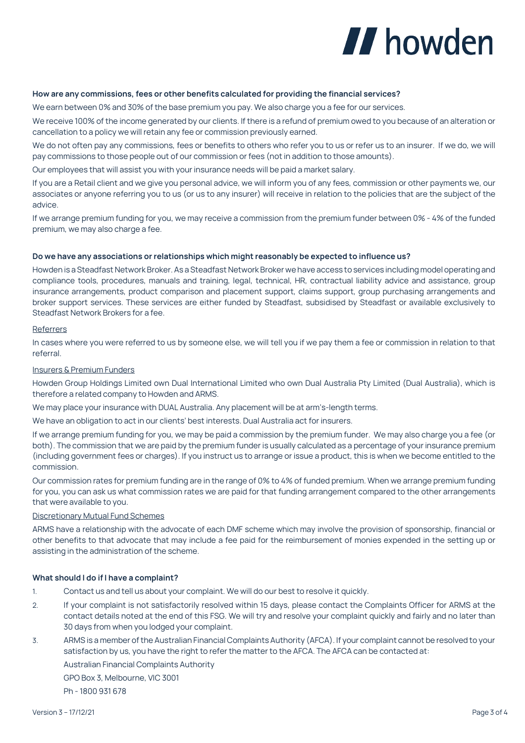# II howden

## **How are any commissions, fees or other benefits calculated for providing the financial services?**

We earn between 0% and 30% of the base premium you pay. We also charge you a fee for our services.

We receive 100% of the income generated by our clients. If there is a refund of premium owed to you because of an alteration or cancellation to a policy we will retain any fee or commission previously earned.

We do not often pay any commissions, fees or benefits to others who refer you to us or refer us to an insurer. If we do, we will pay commissions to those people out of our commission or fees (not in addition to those amounts).

Our employees that will assist you with your insurance needs will be paid a market salary.

If you are a Retail client and we give you personal advice, we will inform you of any fees, commission or other payments we, our associates or anyone referring you to us (or us to any insurer) will receive in relation to the policies that are the subject of the advice.

If we arrange premium funding for you, we may receive a commission from the premium funder between 0% - 4% of the funded premium, we may also charge a fee.

#### **Do we have any associations or relationships which might reasonably be expected to influence us?**

Howden is a Steadfast Network Broker. As a Steadfast Network Broker we have access to services including model operating and compliance tools, procedures, manuals and training, legal, technical, HR, contractual liability advice and assistance, group insurance arrangements, product comparison and placement support, claims support, group purchasing arrangements and broker support services. These services are either funded by Steadfast, subsidised by Steadfast or available exclusively to Steadfast Network Brokers for a fee.

#### Referrers

In cases where you were referred to us by someone else, we will tell you if we pay them a fee or commission in relation to that referral.

#### Insurers & Premium Funders

Howden Group Holdings Limited own Dual International Limited who own Dual Australia Pty Limited (Dual Australia), which is therefore a related company to Howden and ARMS.

We may place your insurance with DUAL Australia. Any placement will be at arm's-length terms.

We have an obligation to act in our clients' best interests. Dual Australia act for insurers.

If we arrange premium funding for you, we may be paid a commission by the premium funder. We may also charge you a fee (or both). The commission that we are paid by the premium funder is usually calculated as a percentage of your insurance premium (including government fees or charges). If you instruct us to arrange or issue a product, this is when we become entitled to the commission.

Our commission rates for premium funding are in the range of 0% to 4% of funded premium. When we arrange premium funding for you, you can ask us what commission rates we are paid for that funding arrangement compared to the other arrangements that were available to you.

### Discretionary Mutual Fund Schemes

ARMS have a relationship with the advocate of each DMF scheme which may involve the provision of sponsorship, financial or other benefits to that advocate that may include a fee paid for the reimbursement of monies expended in the setting up or assisting in the administration of the scheme.

### **What should I do if I have a complaint?**

- 1. Contact us and tell us about your complaint. We will do our best to resolve it quickly.
- 2. If your complaint is not satisfactorily resolved within 15 days, please contact the Complaints Officer for ARMS at the contact details noted at the end of this FSG. We will try and resolve your complaint quickly and fairly and no later than 30 days from when you lodged your complaint.
- 3. ARMS is a member of the Australian Financial Complaints Authority (AFCA). If your complaint cannot be resolved to your satisfaction by us, you have the right to refer the matter to the AFCA. The AFCA can be contacted at:

Australian Financial Complaints Authority

GPO Box 3, Melbourne, VIC 3001

Ph - 1800 931 678